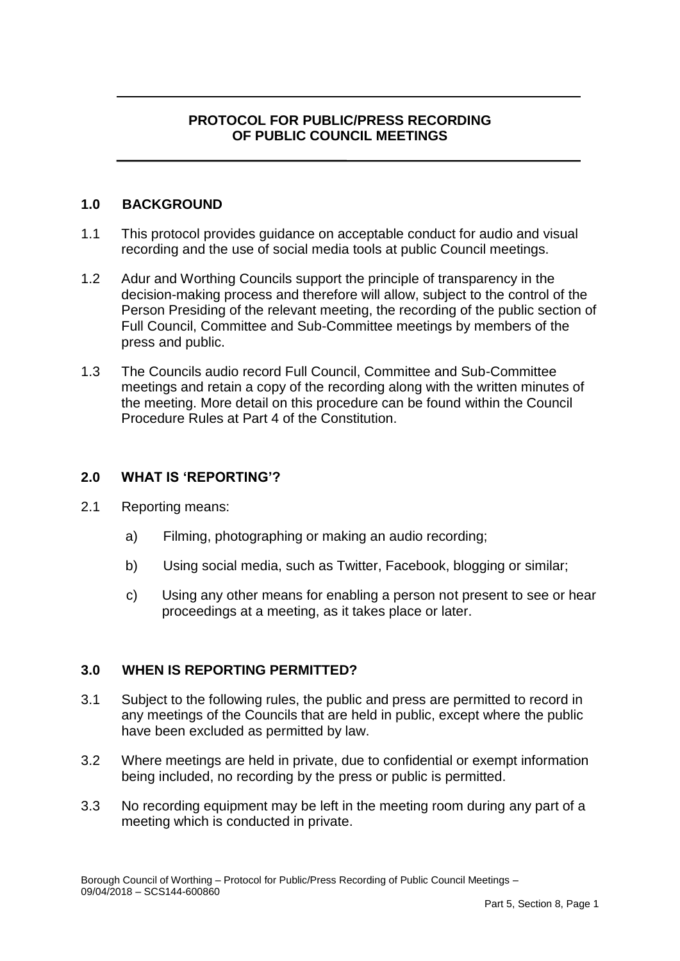# **PROTOCOL FOR PUBLIC/PRESS RECORDING OF PUBLIC COUNCIL MEETINGS**

# **1.0 BACKGROUND**

- 1.1 This protocol provides guidance on acceptable conduct for audio and visual recording and the use of social media tools at public Council meetings.
- 1.2 Adur and Worthing Councils support the principle of transparency in the decision-making process and therefore will allow, subject to the control of the Person Presiding of the relevant meeting, the recording of the public section of Full Council, Committee and Sub-Committee meetings by members of the press and public.
- the meeting. More detail on this procedure can be found within the Council 1.3 The Councils audio record Full Council, Committee and Sub-Committee meetings and retain a copy of the recording along with the written minutes of Procedure Rules at Part 4 of the Constitution.

#### **2.0 WHAT IS 'REPORTING'?**

- 2.1 Reporting means:
	- a) Filming, photographing or making an audio recording;
	- b) Using social media, such as Twitter, Facebook, blogging or similar;
	- c) Using any other means for enabling a person not present to see or hear proceedings at a meeting, as it takes place or later.

# **3.0 WHEN IS REPORTING PERMITTED?**

- 3.1 Subject to the following rules, the public and press are permitted to record in any meetings of the Councils that are held in public, except where the public have been excluded as permitted by law.
- 3.2 Where meetings are held in private, due to confidential or exempt information being included, no recording by the press or public is permitted.
- 3.3 No recording equipment may be left in the meeting room during any part of a meeting which is conducted in private.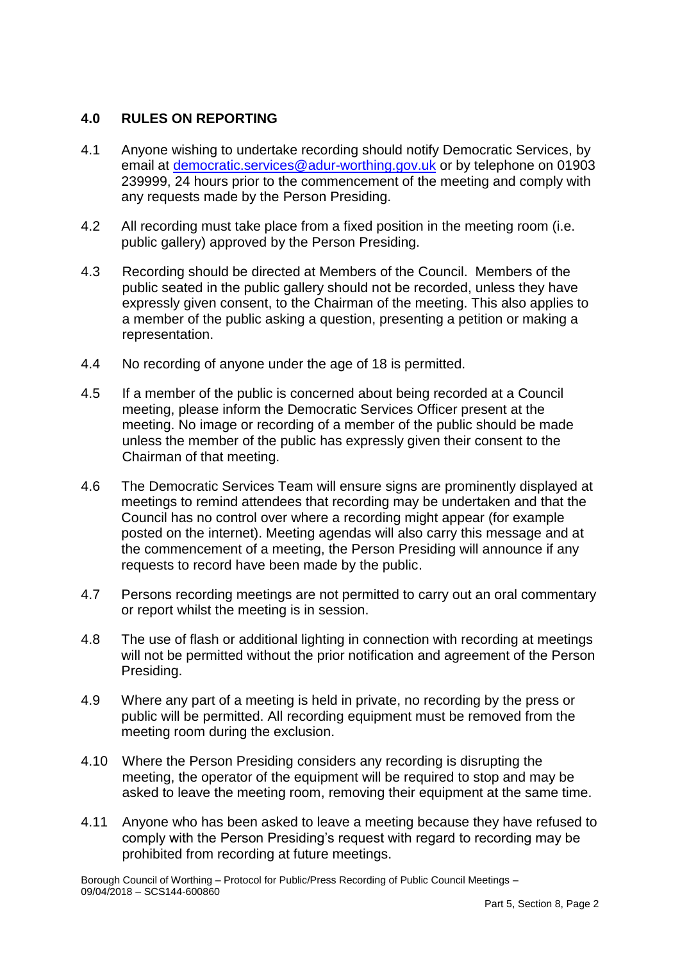# **4.0 RULES ON REPORTING**

- $4.1$ email at *democratic.services@adur-worthing.gov.uk* or by telephone on 01903 4.1 Anyone wishing to undertake recording should notify Democratic Services, by 239999, 24 hours prior to the commencement of the meeting and comply with any requests made by the Person Presiding.
- 4.2 All recording must take place from a fixed position in the meeting room (i.e. public gallery) approved by the Person Presiding.
- expressly given consent, to the Chairman of the meeting. This also applies to 4.3 Recording should be directed at Members of the Council. Members of the public seated in the public gallery should not be recorded, unless they have a member of the public asking a question, presenting a petition or making a representation.
- 4.4 No recording of anyone under the age of 18 is permitted.
- 4.5 meeting. No image or recording of a member of the public should be made If a member of the public is concerned about being recorded at a Council meeting, please inform the Democratic Services Officer present at the unless the member of the public has expressly given their consent to the Chairman of that meeting.
- meetings to remind attendees that recording may be undertaken and that the the commencement of a meeting, the Person Presiding will announce if any requests to record have been made by the public. 4.6 The Democratic Services Team will ensure signs are prominently displayed at Council has no control over where a recording might appear (for example posted on the internet). Meeting agendas will also carry this message and at
- 4.7 Persons recording meetings are not permitted to carry out an oral commentary or report whilst the meeting is in session.
- 4.8 The use of flash or additional lighting in connection with recording at meetings will not be permitted without the prior notification and agreement of the Person Presiding.
- 4.9 Where any part of a meeting is held in private, no recording by the press or public will be permitted. All recording equipment must be removed from the meeting room during the exclusion.
- meeting, the operator of the equipment will be required to stop and may be 4.10 Where the Person Presiding considers any recording is disrupting the asked to leave the meeting room, removing their equipment at the same time.
- 4.11 Anyone who has been asked to leave a meeting because they have refused to comply with the Person Presiding's request with regard to recording may be prohibited from recording at future meetings.